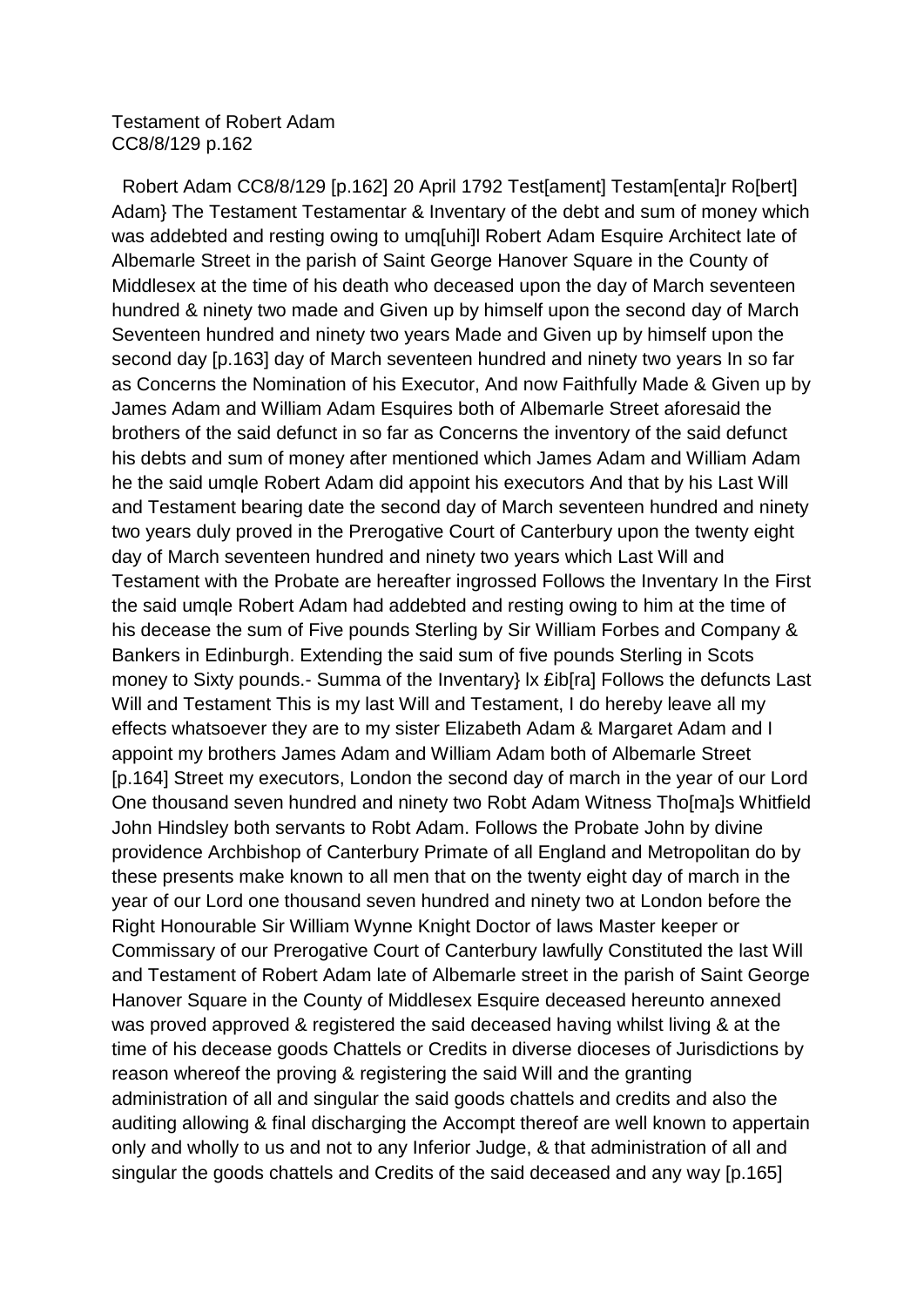## Testament of Robert Adam CC8/8/129 p.162

 Robert Adam CC8/8/129 [p.162] 20 April 1792 Test[ament] Testam[enta]r Ro[bert] Adam} The Testament Testamentar & Inventary of the debt and sum of money which was addebted and resting owing to umq[uhi]l Robert Adam Esquire Architect late of Albemarle Street in the parish of Saint George Hanover Square in the County of Middlesex at the time of his death who deceased upon the day of March seventeen hundred & ninety two made and Given up by himself upon the second day of March Seventeen hundred and ninety two years Made and Given up by himself upon the second day [p.163] day of March seventeen hundred and ninety two years In so far as Concerns the Nomination of his Executor, And now Faithfully Made & Given up by James Adam and William Adam Esquires both of Albemarle Street aforesaid the brothers of the said defunct in so far as Concerns the inventory of the said defunct his debts and sum of money after mentioned which James Adam and William Adam he the said umqle Robert Adam did appoint his executors And that by his Last Will and Testament bearing date the second day of March seventeen hundred and ninety two years duly proved in the Prerogative Court of Canterbury upon the twenty eight day of March seventeen hundred and ninety two years which Last Will and Testament with the Probate are hereafter ingrossed Follows the Inventary In the First the said umqle Robert Adam had addebted and resting owing to him at the time of his decease the sum of Five pounds Sterling by Sir William Forbes and Company & Bankers in Edinburgh. Extending the said sum of five pounds Sterling in Scots money to Sixty pounds.- Summa of the Inventary} lx £ib[ra] Follows the defuncts Last Will and Testament This is my last Will and Testament, I do hereby leave all my effects whatsoever they are to my sister Elizabeth Adam & Margaret Adam and I appoint my brothers James Adam and William Adam both of Albemarle Street [p.164] Street my executors, London the second day of march in the year of our Lord One thousand seven hundred and ninety two Robt Adam Witness Tho[ma]s Whitfield John Hindsley both servants to Robt Adam. Follows the Probate John by divine providence Archbishop of Canterbury Primate of all England and Metropolitan do by these presents make known to all men that on the twenty eight day of march in the year of our Lord one thousand seven hundred and ninety two at London before the Right Honourable Sir William Wynne Knight Doctor of laws Master keeper or Commissary of our Prerogative Court of Canterbury lawfully Constituted the last Will and Testament of Robert Adam late of Albemarle street in the parish of Saint George Hanover Square in the County of Middlesex Esquire deceased hereunto annexed was proved approved & registered the said deceased having whilst living & at the time of his decease goods Chattels or Credits in diverse dioceses of Jurisdictions by reason whereof the proving & registering the said Will and the granting administration of all and singular the said goods chattels and credits and also the auditing allowing & final discharging the Accompt thereof are well known to appertain only and wholly to us and not to any Inferior Judge, & that administration of all and singular the goods chattels and Credits of the said deceased and any way [p.165]